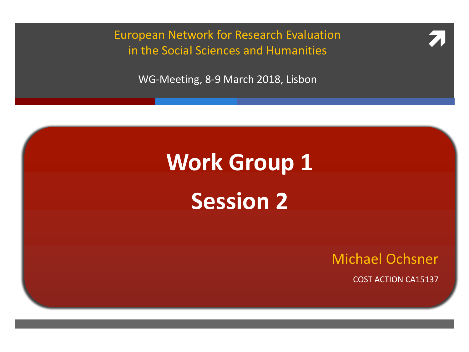European Network for Research Evaluation<br>
in the Social Sciences and Humanities in the Social Sciences and Humanities

WG-Meeting, 8-9 March 2018, Lisbon

# **Work Group 1 Session 2**

Michael Ochsner COST ACTION CA15137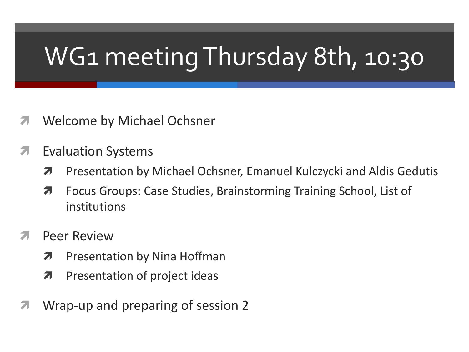# WG1 meeting Thursday 8th, 10:30

- *A* Welcome by Michael Ochsner
- **7** Evaluation Systems
	- **7** Presentation by Michael Ochsner, Emanuel Kulczycki and Aldis Gedutis
	- **7** Focus Groups: Case Studies, Brainstorming Training School, List of institutions
- Peer Review
	- **7** Presentation by Nina Hoffman
	- $\lambda$  Presentation of project ideas
- Wrap-up and preparing of session 2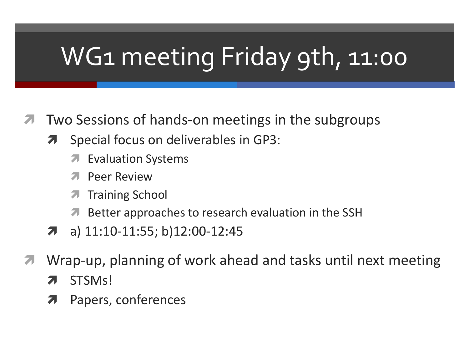# WG1 meeting Friday 9th, 11:00

- Two Sessions of hands-on meetings in the subgroups 7
	- Special focus on deliverables in GP3: 7
		- **Evaluation Systems** 7
		- **Peer Review** 71
		- **Training School** 7
		- **A** Better approaches to research evaluation in the SSH
	- a) 11:10-11:55; b)12:00-12:45 7
- Wrap-up, planning of work ahead and tasks until next meeting 71
	- STSM<sub>s</sub>! 7
	- Papers, conferences  $\boldsymbol{\pi}$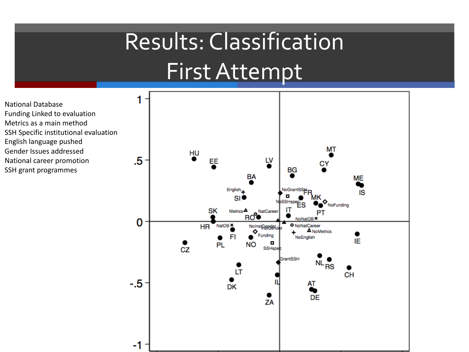#### Results: Classification First Attempt

National Database Funding Linked to evaluation Metrics as a main method SSH Specific institutional evaluation English language pushed Gender Issues addressed National career promotion SSH grant programmes

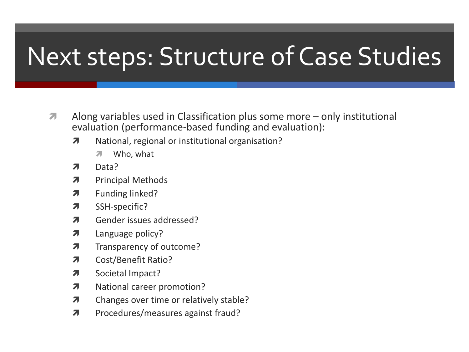### Next steps: Structure of Case Studies

- Along variables used in Classification plus some more only institutional  $\overline{\phantom{a}}$ evaluation (performance-based funding and evaluation):
	- National, regional or institutional organisation?  $\overline{\boldsymbol{\pi}}$ 
		- Who, what Я.
	- Data? Л.
	- **Principal Methods** Я.
	- Funding linked? Л.
	- SSH-specific?  $\overline{\mathbf{z}}$
	- Gender issues addressed? Я.
	- $\overline{\phantom{a}}$ Language policy?
	- Transparency of outcome?  $\overline{\phantom{a}}$
	- **Cost/Benefit Ratio?** Я.
	- Societal Impact?  $\overline{\phantom{a}}$
	- National career promotion?  $\overline{\mathbf{z}}$
	- Changes over time or relatively stable?  $\overline{\mathbf{z}}$
	- $\overline{\mathbf{z}}$ Procedures/measures against fraud?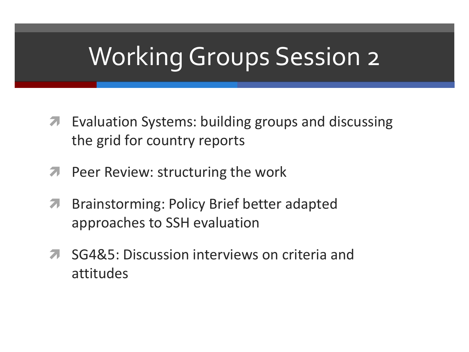## **Working Groups Session 2**

- **7** Evaluation Systems: building groups and discussing the grid for country reports
- **Peer Review: structuring the work** 7
- Brainstorming: Policy Brief better adapted 7 approaches to SSH evaluation
- SG4&5: Discussion interviews on criteria and 7 attitudes